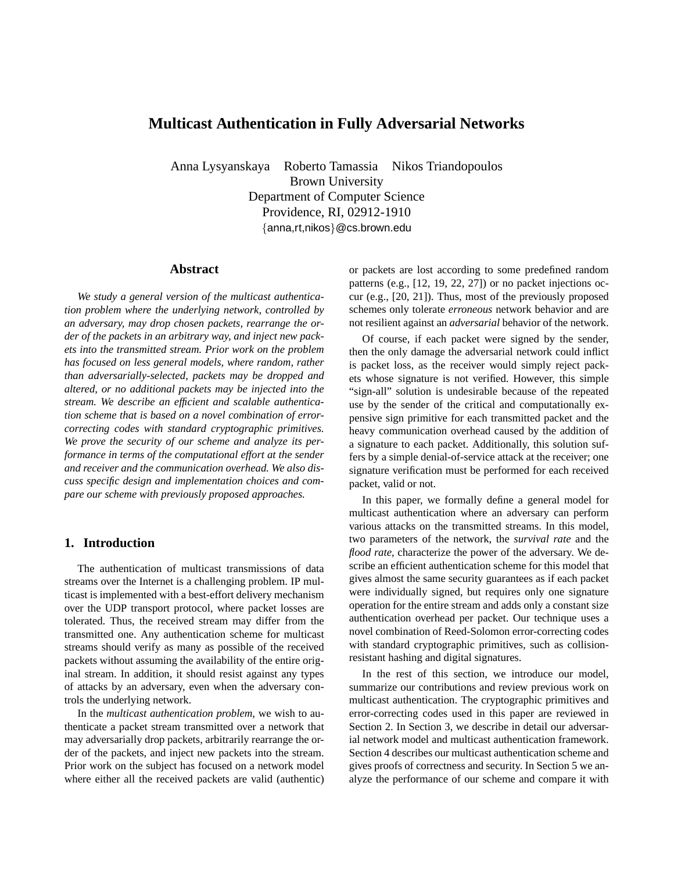## **Multicast Authentication in Fully Adversarial Networks**

Anna Lysyanskaya Roberto Tamassia Nikos Triandopoulos Brown University Department of Computer Science Providence, RI, 02912-1910 {anna,rt,nikos}@cs.brown.edu

#### **Abstract**

*We study a general version of the multicast authentication problem where the underlying network, controlled by an adversary, may drop chosen packets, rearrange the order of the packets in an arbitrary way, and inject new packets into the transmitted stream. Prior work on the problem has focused on less general models, where random, rather than adversarially-selected, packets may be dropped and altered, or no additional packets may be injected into the stream. We describe an efficient and scalable authentication scheme that is based on a novel combination of errorcorrecting codes with standard cryptographic primitives. We prove the security of our scheme and analyze its performance in terms of the computational effort at the sender and receiver and the communication overhead. We also discuss specific design and implementation choices and compare our scheme with previously proposed approaches.*

## **1. Introduction**

The authentication of multicast transmissions of data streams over the Internet is a challenging problem. IP multicast is implemented with a best-effort delivery mechanism over the UDP transport protocol, where packet losses are tolerated. Thus, the received stream may differ from the transmitted one. Any authentication scheme for multicast streams should verify as many as possible of the received packets without assuming the availability of the entire original stream. In addition, it should resist against any types of attacks by an adversary, even when the adversary controls the underlying network.

In the *multicast authentication problem*, we wish to authenticate a packet stream transmitted over a network that may adversarially drop packets, arbitrarily rearrange the order of the packets, and inject new packets into the stream. Prior work on the subject has focused on a network model where either all the received packets are valid (authentic) or packets are lost according to some predefined random patterns (e.g., [12, 19, 22, 27]) or no packet injections occur (e.g., [20, 21]). Thus, most of the previously proposed schemes only tolerate *erroneous* network behavior and are not resilient against an *adversarial* behavior of the network.

Of course, if each packet were signed by the sender, then the only damage the adversarial network could inflict is packet loss, as the receiver would simply reject packets whose signature is not verified. However, this simple "sign-all" solution is undesirable because of the repeated use by the sender of the critical and computationally expensive sign primitive for each transmitted packet and the heavy communication overhead caused by the addition of a signature to each packet. Additionally, this solution suffers by a simple denial-of-service attack at the receiver; one signature verification must be performed for each received packet, valid or not.

In this paper, we formally define a general model for multicast authentication where an adversary can perform various attacks on the transmitted streams. In this model, two parameters of the network, the *survival rate* and the *flood rate*, characterize the power of the adversary. We describe an efficient authentication scheme for this model that gives almost the same security guarantees as if each packet were individually signed, but requires only one signature operation for the entire stream and adds only a constant size authentication overhead per packet. Our technique uses a novel combination of Reed-Solomon error-correcting codes with standard cryptographic primitives, such as collisionresistant hashing and digital signatures.

In the rest of this section, we introduce our model, summarize our contributions and review previous work on multicast authentication. The cryptographic primitives and error-correcting codes used in this paper are reviewed in Section 2. In Section 3, we describe in detail our adversarial network model and multicast authentication framework. Section 4 describes our multicast authentication scheme and gives proofs of correctness and security. In Section 5 we analyze the performance of our scheme and compare it with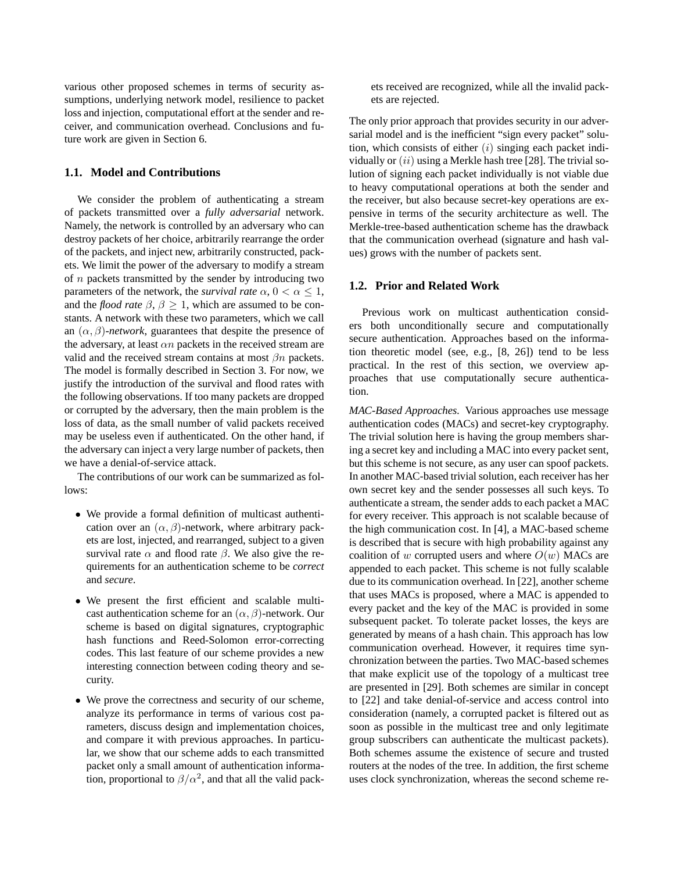various other proposed schemes in terms of security assumptions, underlying network model, resilience to packet loss and injection, computational effort at the sender and receiver, and communication overhead. Conclusions and future work are given in Section 6.

## **1.1. Model and Contributions**

We consider the problem of authenticating a stream of packets transmitted over a *fully adversarial* network. Namely, the network is controlled by an adversary who can destroy packets of her choice, arbitrarily rearrange the order of the packets, and inject new, arbitrarily constructed, packets. We limit the power of the adversary to modify a stream of  $n$  packets transmitted by the sender by introducing two parameters of the network, the *survival rate*  $\alpha$ ,  $0 < \alpha \leq 1$ , and the *flood rate*  $\beta$ ,  $\beta$  > 1, which are assumed to be constants. A network with these two parameters, which we call an  $(\alpha, \beta)$ *-network*, guarantees that despite the presence of the adversary, at least  $\alpha n$  packets in the received stream are valid and the received stream contains at most  $\beta n$  packets. The model is formally described in Section 3. For now, we justify the introduction of the survival and flood rates with the following observations. If too many packets are dropped or corrupted by the adversary, then the main problem is the loss of data, as the small number of valid packets received may be useless even if authenticated. On the other hand, if the adversary can inject a very large number of packets, then we have a denial-of-service attack.

The contributions of our work can be summarized as follows:

- We provide a formal definition of multicast authentication over an  $(\alpha, \beta)$ -network, where arbitrary packets are lost, injected, and rearranged, subject to a given survival rate  $\alpha$  and flood rate  $\beta$ . We also give the requirements for an authentication scheme to be *correct* and *secure*.
- We present the first efficient and scalable multicast authentication scheme for an  $(\alpha, \beta)$ -network. Our scheme is based on digital signatures, cryptographic hash functions and Reed-Solomon error-correcting codes. This last feature of our scheme provides a new interesting connection between coding theory and security.
- We prove the correctness and security of our scheme, analyze its performance in terms of various cost parameters, discuss design and implementation choices, and compare it with previous approaches. In particular, we show that our scheme adds to each transmitted packet only a small amount of authentication information, proportional to  $\beta/\alpha^2$ , and that all the valid pack-

ets received are recognized, while all the invalid packets are rejected.

The only prior approach that provides security in our adversarial model and is the inefficient "sign every packet" solution, which consists of either  $(i)$  singing each packet individually or  $(ii)$  using a Merkle hash tree [28]. The trivial solution of signing each packet individually is not viable due to heavy computational operations at both the sender and the receiver, but also because secret-key operations are expensive in terms of the security architecture as well. The Merkle-tree-based authentication scheme has the drawback that the communication overhead (signature and hash values) grows with the number of packets sent.

## **1.2. Prior and Related Work**

Previous work on multicast authentication considers both unconditionally secure and computationally secure authentication. Approaches based on the information theoretic model (see, e.g., [8, 26]) tend to be less practical. In the rest of this section, we overview approaches that use computationally secure authentication.

*MAC-Based Approaches.* Various approaches use message authentication codes (MACs) and secret-key cryptography. The trivial solution here is having the group members sharing a secret key and including a MAC into every packet sent, but this scheme is not secure, as any user can spoof packets. In another MAC-based trivial solution, each receiver has her own secret key and the sender possesses all such keys. To authenticate a stream, the sender adds to each packet a MAC for every receiver. This approach is not scalable because of the high communication cost. In [4], a MAC-based scheme is described that is secure with high probability against any coalition of w corrupted users and where  $O(w)$  MACs are appended to each packet. This scheme is not fully scalable due to its communication overhead. In [22], another scheme that uses MACs is proposed, where a MAC is appended to every packet and the key of the MAC is provided in some subsequent packet. To tolerate packet losses, the keys are generated by means of a hash chain. This approach has low communication overhead. However, it requires time synchronization between the parties. Two MAC-based schemes that make explicit use of the topology of a multicast tree are presented in [29]. Both schemes are similar in concept to [22] and take denial-of-service and access control into consideration (namely, a corrupted packet is filtered out as soon as possible in the multicast tree and only legitimate group subscribers can authenticate the multicast packets). Both schemes assume the existence of secure and trusted routers at the nodes of the tree. In addition, the first scheme uses clock synchronization, whereas the second scheme re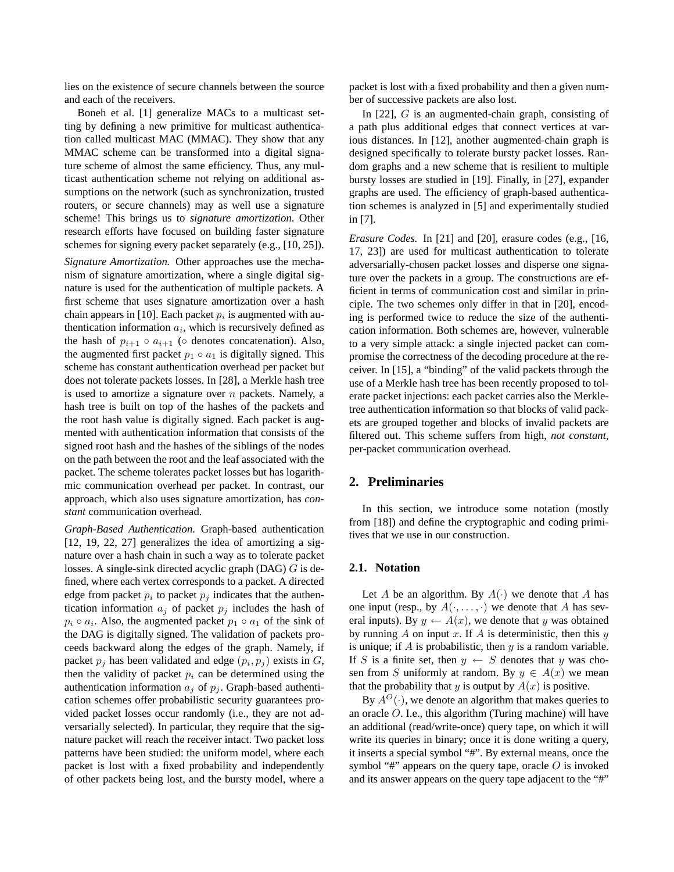lies on the existence of secure channels between the source and each of the receivers.

Boneh et al. [1] generalize MACs to a multicast setting by defining a new primitive for multicast authentication called multicast MAC (MMAC). They show that any MMAC scheme can be transformed into a digital signature scheme of almost the same efficiency. Thus, any multicast authentication scheme not relying on additional assumptions on the network (such as synchronization, trusted routers, or secure channels) may as well use a signature scheme! This brings us to *signature amortization*. Other research efforts have focused on building faster signature schemes for signing every packet separately (e.g., [10, 25]).

*Signature Amortization.* Other approaches use the mechanism of signature amortization, where a single digital signature is used for the authentication of multiple packets. A first scheme that uses signature amortization over a hash chain appears in [10]. Each packet  $p_i$  is augmented with authentication information  $a_i$ , which is recursively defined as the hash of  $p_{i+1} \circ a_{i+1}$  ( $\circ$  denotes concatenation). Also, the augmented first packet  $p_1 \circ a_1$  is digitally signed. This scheme has constant authentication overhead per packet but does not tolerate packets losses. In [28], a Merkle hash tree is used to amortize a signature over  $n$  packets. Namely, a hash tree is built on top of the hashes of the packets and the root hash value is digitally signed. Each packet is augmented with authentication information that consists of the signed root hash and the hashes of the siblings of the nodes on the path between the root and the leaf associated with the packet. The scheme tolerates packet losses but has logarithmic communication overhead per packet. In contrast, our approach, which also uses signature amortization, has *constant* communication overhead.

*Graph-Based Authentication.* Graph-based authentication [12, 19, 22, 27] generalizes the idea of amortizing a signature over a hash chain in such a way as to tolerate packet losses. A single-sink directed acyclic graph (DAG) G is defined, where each vertex corresponds to a packet. A directed edge from packet  $p_i$  to packet  $p_j$  indicates that the authentication information  $a_j$  of packet  $p_j$  includes the hash of  $p_i \circ a_i$ . Also, the augmented packet  $p_1 \circ a_1$  of the sink of the DAG is digitally signed. The validation of packets proceeds backward along the edges of the graph. Namely, if packet  $p_j$  has been validated and edge  $(p_i, p_j)$  exists in  $G$ , then the validity of packet  $p_i$  can be determined using the authentication information  $a_j$  of  $p_j$ . Graph-based authentication schemes offer probabilistic security guarantees provided packet losses occur randomly (i.e., they are not adversarially selected). In particular, they require that the signature packet will reach the receiver intact. Two packet loss patterns have been studied: the uniform model, where each packet is lost with a fixed probability and independently of other packets being lost, and the bursty model, where a packet is lost with a fixed probability and then a given number of successive packets are also lost.

In [22], G is an augmented-chain graph, consisting of a path plus additional edges that connect vertices at various distances. In [12], another augmented-chain graph is designed specifically to tolerate bursty packet losses. Random graphs and a new scheme that is resilient to multiple bursty losses are studied in [19]. Finally, in [27], expander graphs are used. The efficiency of graph-based authentication schemes is analyzed in [5] and experimentally studied in [7].

*Erasure Codes.* In [21] and [20], erasure codes (e.g., [16, 17, 23]) are used for multicast authentication to tolerate adversarially-chosen packet losses and disperse one signature over the packets in a group. The constructions are efficient in terms of communication cost and similar in principle. The two schemes only differ in that in [20], encoding is performed twice to reduce the size of the authentication information. Both schemes are, however, vulnerable to a very simple attack: a single injected packet can compromise the correctness of the decoding procedure at the receiver. In [15], a "binding" of the valid packets through the use of a Merkle hash tree has been recently proposed to tolerate packet injections: each packet carries also the Merkletree authentication information so that blocks of valid packets are grouped together and blocks of invalid packets are filtered out. This scheme suffers from high, *not constant*, per-packet communication overhead.

#### **2. Preliminaries**

In this section, we introduce some notation (mostly from [18]) and define the cryptographic and coding primitives that we use in our construction.

#### **2.1. Notation**

Let A be an algorithm. By  $A(\cdot)$  we denote that A has one input (resp., by  $A(\cdot, \ldots, \cdot)$  we denote that A has several inputs). By  $y \leftarrow A(x)$ , we denote that y was obtained by running A on input x. If A is deterministic, then this  $y$ is unique; if  $A$  is probabilistic, then  $y$  is a random variable. If S is a finite set, then  $y \leftarrow S$  denotes that y was chosen from S uniformly at random. By  $y \in A(x)$  we mean that the probability that y is output by  $A(x)$  is positive.

By  $A^{O}(\cdot)$ , we denote an algorithm that makes queries to an oracle  $O$ . I.e., this algorithm (Turing machine) will have an additional (read/write-once) query tape, on which it will write its queries in binary; once it is done writing a query, it inserts a special symbol "#". By external means, once the symbol "#" appears on the query tape, oracle  $O$  is invoked and its answer appears on the query tape adjacent to the "#"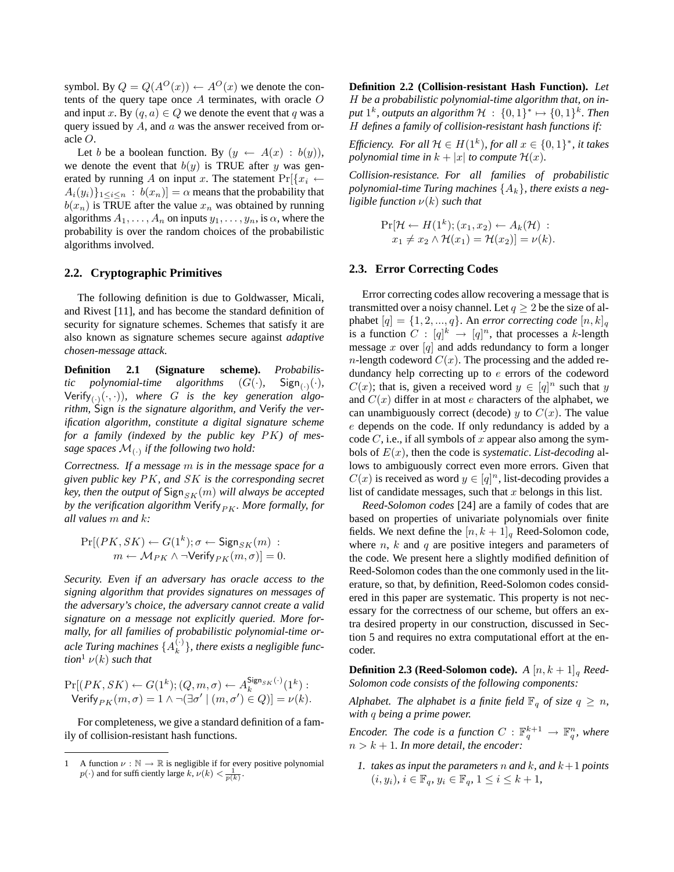symbol. By  $Q = Q(A^O(x)) \leftarrow A^O(x)$  we denote the contents of the query tape once A terminates, with oracle O and input x. By  $(q, a) \in Q$  we denote the event that q was a query issued by  $A$ , and  $a$  was the answer received from oracle O.

Let b be a boolean function. By  $(y \leftarrow A(x) : b(y))$ , we denote the event that  $b(y)$  is TRUE after y was generated by running A on input x. The statement  $Pr[\{x_i \leftarrow$  $A_i(y_i)\}_{1\leq i\leq n} : b(x_n)]=\alpha$  means that the probability that  $b(x_n)$  is TRUE after the value  $x_n$  was obtained by running algorithms  $A_1, \ldots, A_n$  on inputs  $y_1, \ldots, y_n$ , is  $\alpha$ , where the probability is over the random choices of the probabilistic algorithms involved.

#### **2.2. Cryptographic Primitives**

The following definition is due to Goldwasser, Micali, and Rivest [11], and has become the standard definition of security for signature schemes. Schemes that satisfy it are also known as signature schemes secure against *adaptive chosen-message attack*.

**Definition 2.1 (Signature scheme).** *Probabilistic polynomial-time algorithms*  $(G(\cdot))$ *,*  $Sign_{(.)}(\cdot)$ ,  $Verify_{(.)}(\cdot, \cdot)$ ), where  $G$  is the key generation algo*rithm,* Sign *is the signature algorithm, and* Verify *the verification algorithm, constitute a digital signature scheme for a family (indexed by the public key* PK*) of message spaces* M(·) *if the following two hold:*

*Correctness. If a message* m *is in the message space for a given public key* PK*, and* SK *is the corresponding secret key, then the output of*  $\text{Sign}_{SK}(m)$  *will always be accepted by the verification algorithm* Verify<sub>*PK</sub>*. *More formally, for*</sub> *all values* m *and* k*:*

$$
\Pr[(PK, SK) \leftarrow G(1k); \sigma \leftarrow \text{Sign}_{SK}(m) : m \leftarrow \mathcal{M}_{PK} \wedge \neg \text{Verify}_{PK}(m, \sigma)] = 0.
$$

*Security. Even if an adversary has oracle access to the signing algorithm that provides signatures on messages of the adversary's choice, the adversary cannot create a valid signature on a message not explicitly queried. More formally, for all families of probabilistic polynomial-time or*acle Turing machines  $\{A_k^{(\cdot)}\}$  $\binom{f}{k}$ , there exists a negligible func*tion*<sup>1</sup>  $\nu(k)$  *such that* 

$$
\Pr[(PK, SK) \leftarrow G(1^k); (Q, m, \sigma) \leftarrow A_k^{\text{Sign}_{SK}(\cdot)}(1^k):
$$
  
Verify<sub>PK</sub>(m, \sigma) = 1  $\land \neg(\exists \sigma' \mid (m, \sigma') \in Q)] = \nu(k).$ 

For completeness, we give a standard definition of a family of collision-resistant hash functions.

**Definition 2.2 (Collision-resistant Hash Function).** *Let* H *be a probabilistic polynomial-time algorithm that, on in* $p$ ut  $1^k$ *, outputs an algorithm*  $H$  :  $\{0,1\}^* \mapsto \{0,1\}^k$ *. Then* H *defines a family of collision-resistant hash functions if:*

*Efficiency.* For all  $H \in H(1^k)$ , for all  $x \in \{0,1\}^*$ , it takes *polynomial time in*  $k + |x|$  *to compute*  $\mathcal{H}(x)$ *.* 

*Collision-resistance. For all families of probabilistic polynomial-time Turing machines*  $\{A_k\}$ *, there exists a negligible function*  $\nu(k)$  *such that* 

> $\Pr[\mathcal{H} \leftarrow H(1^k); (x_1, x_2) \leftarrow A_k(\mathcal{H})$ :  $x_1 \neq x_2 \wedge \mathcal{H}(x_1) = \mathcal{H}(x_2) = \nu(k).$

#### **2.3. Error Correcting Codes**

Error correcting codes allow recovering a message that is transmitted over a noisy channel. Let  $q \geq 2$  be the size of alphabet  $[q] = \{1, 2, ..., q\}$ . An *error correcting code*  $[n, k]_q$ is a function  $C : [q]^k \rightarrow [q]^n$ , that processes a k-length message x over  $[q]$  and adds redundancy to form a longer n-length codeword  $C(x)$ . The processing and the added redundancy help correcting up to e errors of the codeword  $C(x)$ ; that is, given a received word  $y \in [q]^n$  such that y and  $C(x)$  differ in at most e characters of the alphabet, we can unambiguously correct (decode) y to  $C(x)$ . The value e depends on the code. If only redundancy is added by a code  $C$ , i.e., if all symbols of x appear also among the symbols of  $E(x)$ , then the code is *systematic*. *List-decoding* allows to ambiguously correct even more errors. Given that  $C(x)$  is received as word  $y \in [q]^n$ , list-decoding provides a list of candidate messages, such that  $x$  belongs in this list.

*Reed-Solomon codes* [24] are a family of codes that are based on properties of univariate polynomials over finite fields. We next define the  $[n, k+1]_q$  Reed-Solomon code, where  $n$ ,  $k$  and  $q$  are positive integers and parameters of the code. We present here a slightly modified definition of Reed-Solomon codes than the one commonly used in the literature, so that, by definition, Reed-Solomon codes considered in this paper are systematic. This property is not necessary for the correctness of our scheme, but offers an extra desired property in our construction, discussed in Section 5 and requires no extra computational effort at the encoder.

**Definition 2.3 (Reed-Solomon code).**  $A [n, k+1]_q$  *Reed-Solomon code consists of the following components:*

*Alphabet. The alphabet is a finite field*  $\mathbb{F}_q$  *of size*  $q \ge n$ *, with* q *being a prime power.*

*Encoder.* The code is a function  $C : \mathbb{F}_q^{k+1} \to \mathbb{F}_q^n$ , where  $n > k + 1$ *. In more detail, the encoder:* 

*1. takes as input the parameters n and k*, *and*  $k+1$  *points*  $(i, y_i), i \in \mathbb{F}_q, y_i \in \mathbb{F}_q, 1 \leq i \leq k+1,$ 

<sup>1</sup> A function  $\nu : \mathbb{N} \to \mathbb{R}$  is negligible if for every positive polynomial  $p(\cdot)$  and for sufficiently large  $k, \nu(k) < \frac{1}{p(k)}$ .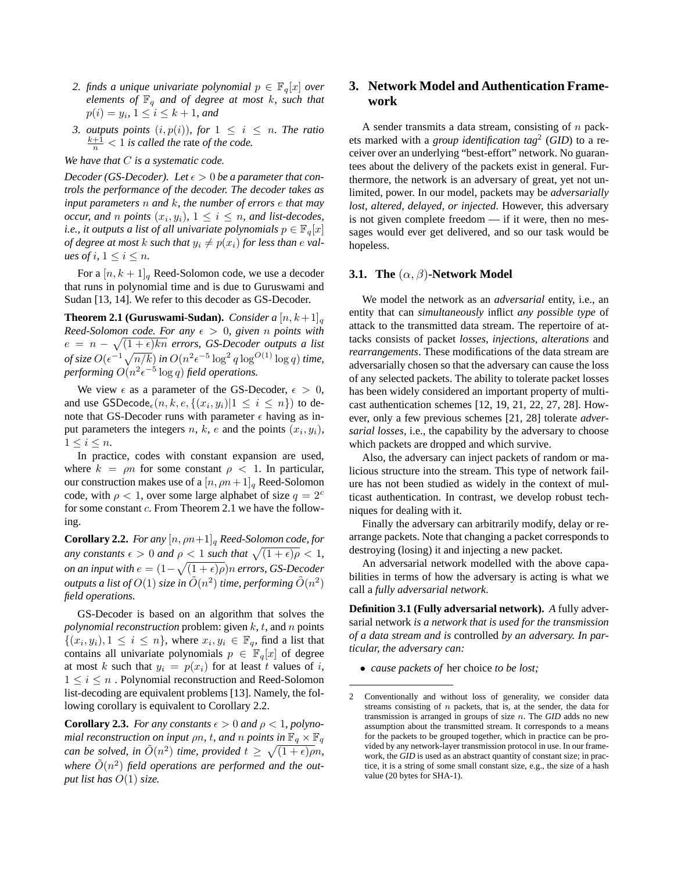- *2. finds a unique univariate polynomial*  $p \in \mathbb{F}_q[x]$  *over elements of*  $\mathbb{F}_q$  *and of degree at most k*, *such that*  $p(i) = y_i, \, 1 \leq i \leq k+1, \,$  and
- *3. outputs points*  $(i, p(i))$ *, for*  $1 \leq i \leq n$ *. The ratio*  $\frac{k+1}{n} < 1$  *is called the* rate *of the code.*

#### *We have that* C *is a systematic code.*

*Decoder* (GS-*Decoder*). Let  $\epsilon > 0$  *be a parameter that controls the performance of the decoder. The decoder takes as input parameters* n *and* k*, the number of errors* e *that may occur,* and *n* points  $(x_i, y_i)$ ,  $1 \leq i \leq n$ , and list-decodes, *i.e., it outputs a list of all univariate polynomials*  $p \in \mathbb{F}_q[x]$ *of degree at most k such that*  $y_i \neq p(x_i)$  *for less than e values of i*,  $1 \leq i \leq n$ *.* 

For a  $[n, k+1]_q$  Reed-Solomon code, we use a decoder that runs in polynomial time and is due to Guruswami and Sudan [13, 14]. We refer to this decoder as GS-Decoder.

**Theorem 2.1 (Guruswami-Sudan).** *Consider a*  $[n, k+1]_q$ *Reed-Solomon code. For any*  $\epsilon > 0$ , *given n points with*  $e = n - \sqrt{(1 + \epsilon)kn}$  errors, GS-Decoder outputs a list of size  $O(\epsilon^{-1} \sqrt{n/k})$  in  $O(n^2 \epsilon^{-5} \log^2 q \log^{O(1)} \log q)$  time,  $performing$   $O(n^2\epsilon^{-5} \log q)$  *field operations.* 

We view  $\epsilon$  as a parameter of the GS-Decoder,  $\epsilon > 0$ , and use  $\mathsf{GSDecode}_{\epsilon}(n, k, e, \{(x_i, y_i)|1\leq i\leq n\})$  to denote that GS-Decoder runs with parameter  $\epsilon$  having as input parameters the integers n, k, e and the points  $(x_i, y_i)$ ,  $1 \leq i \leq n$ .

In practice, codes with constant expansion are used, where  $k = \rho n$  for some constant  $\rho < 1$ . In particular, our construction makes use of a  $[n, \rho n+1]_q$  Reed-Solomon code, with  $\rho < 1$ , over some large alphabet of size  $q = 2^c$ for some constant  $c$ . From Theorem 2.1 we have the following.

**Corollary 2.2.** *For any*  $[n, \rho n+1]_q$  *Reed-Solomon code, for any constants*  $\epsilon > 0$  *and*  $\rho < 1$  *such that*  $\sqrt{(1 + \epsilon)\rho} < 1$ *, on an input with*  $e = (1 - \sqrt{(1+\epsilon)\rho})n$  *errors, GS-Decoder*  $\tilde{O}(n^2)$  *outputs a list of*  $O(1)$  *size in*  $\tilde{O}(n^2)$  *time, performing*  $\tilde{O}(n^2)$ *field operations.*

GS-Decoder is based on an algorithm that solves the *polynomial reconstruction* problem: given k, t, and n points  $\{(x_i, y_i), 1 \leq i \leq n\}$ , where  $x_i, y_i \in \mathbb{F}_q$ , find a list that contains all univariate polynomials  $p \in \mathbb{F}_q[x]$  of degree at most k such that  $y_i = p(x_i)$  for at least t values of i,  $1 \leq i \leq n$ . Polynomial reconstruction and Reed-Solomon list-decoding are equivalent problems [13]. Namely, the following corollary is equivalent to Corollary 2.2.

**Corollary 2.3.** *For any constants*  $\epsilon > 0$  *and*  $\rho < 1$ *, polynomial reconstruction on input*  $\rho n$ *, t, and n points in*  $\mathbb{F}_q \times \mathbb{F}_q$ *can be solved, in*  $\tilde{O}(n^2)$  *time, provided*  $t \geq \sqrt{(1+\epsilon)\rho}n$ , where  $\tilde{O}(n^2)$  field operations are performed and the out*put list has* O(1) *size.*

# **3. Network Model and Authentication Framework**

A sender transmits a data stream, consisting of  $n$  packets marked with a *group identification tag* 2 (*GID*) to a receiver over an underlying "best-effort" network. No guarantees about the delivery of the packets exist in general. Furthermore, the network is an adversary of great, yet not unlimited, power. In our model, packets may be *adversarially lost, altered, delayed, or injected*. However, this adversary is not given complete freedom — if it were, then no messages would ever get delivered, and so our task would be hopeless.

#### **3.1. The**  $(\alpha, \beta)$ **-Network Model**

We model the network as an *adversarial* entity, i.e., an entity that can *simultaneously* inflict *any possible type* of attack to the transmitted data stream. The repertoire of attacks consists of packet *losses*, *injections*, *alterations* and *rearrangements*. These modifications of the data stream are adversarially chosen so that the adversary can cause the loss of any selected packets. The ability to tolerate packet losses has been widely considered an important property of multicast authentication schemes [12, 19, 21, 22, 27, 28]. However, only a few previous schemes [21, 28] tolerate *adversarial losses*, i.e., the capability by the adversary to choose which packets are dropped and which survive.

Also, the adversary can inject packets of random or malicious structure into the stream. This type of network failure has not been studied as widely in the context of multicast authentication. In contrast, we develop robust techniques for dealing with it.

Finally the adversary can arbitrarily modify, delay or rearrange packets. Note that changing a packet corresponds to destroying (losing) it and injecting a new packet.

An adversarial network modelled with the above capabilities in terms of how the adversary is acting is what we call a *fully adversarial network*.

**Definition 3.1 (Fully adversarial network).** *A* fully adversarial network *is a network that is used for the transmission of a data stream and is* controlled *by an adversary. In particular, the adversary can:*

• *cause packets of* her choice *to be lost;*

<sup>2</sup> Conventionally and without loss of generality, we consider data streams consisting of  $n$  packets, that is, at the sender, the data for transmission is arranged in groups of size n. The *GID* adds no new assumption about the transmitted stream. It corresponds to a means for the packets to be grouped together, which in practice can be provided by any network-layer transmission protocol in use. In our framework, the *GID* is used as an abstract quantity of constant size; in practice, it is a string of some small constant size, e.g., the size of a hash value (20 bytes for SHA-1).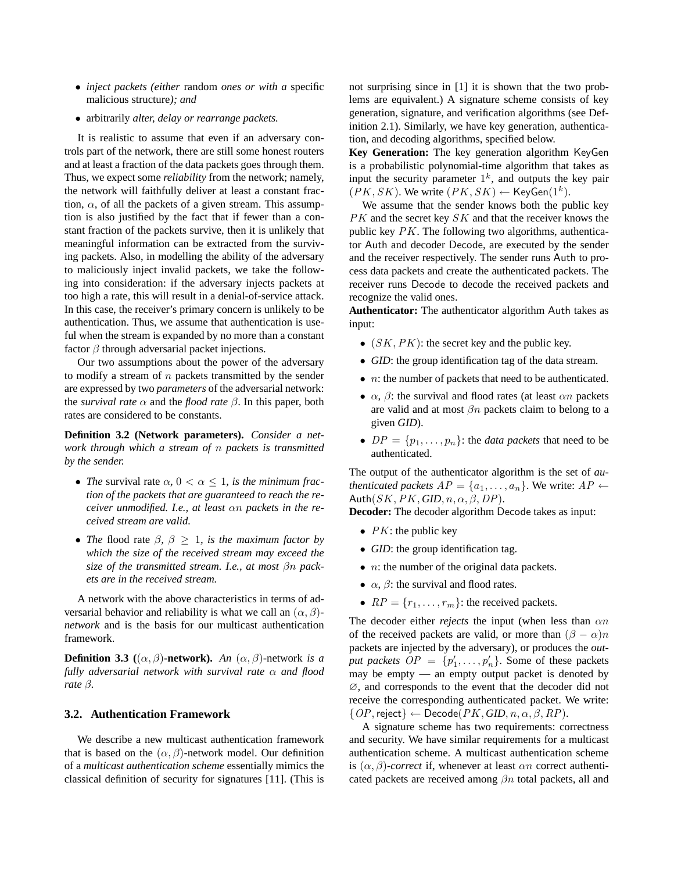- *inject packets (either* random *ones or with a* specific malicious structure*); and*
- arbitrarily *alter, delay or rearrange packets.*

It is realistic to assume that even if an adversary controls part of the network, there are still some honest routers and at least a fraction of the data packets goes through them. Thus, we expect some *reliability* from the network; namely, the network will faithfully deliver at least a constant fraction,  $\alpha$ , of all the packets of a given stream. This assumption is also justified by the fact that if fewer than a constant fraction of the packets survive, then it is unlikely that meaningful information can be extracted from the surviving packets. Also, in modelling the ability of the adversary to maliciously inject invalid packets, we take the following into consideration: if the adversary injects packets at too high a rate, this will result in a denial-of-service attack. In this case, the receiver's primary concern is unlikely to be authentication. Thus, we assume that authentication is useful when the stream is expanded by no more than a constant factor  $\beta$  through adversarial packet injections.

Our two assumptions about the power of the adversary to modify a stream of  $n$  packets transmitted by the sender are expressed by two *parameters* of the adversarial network: the *survival rate*  $\alpha$  and the *flood rate*  $\beta$ . In this paper, both rates are considered to be constants.

**Definition 3.2 (Network parameters).** *Consider a network through which a stream of* n *packets is transmitted by the sender.*

- *The survival rate*  $\alpha$ ,  $0 < \alpha \leq 1$ , *is the minimum fraction of the packets that are guaranteed to reach the receiver unmodified. I.e., at least* αn *packets in the received stream are valid.*
- *The* flood rate  $\beta$ ,  $\beta \geq 1$ , *is the maximum factor by which the size of the received stream may exceed the size of the transmitted stream. I.e., at most* βn *packets are in the received stream.*

A network with the above characteristics in terms of adversarial behavior and reliability is what we call an  $(\alpha, \beta)$ *network* and is the basis for our multicast authentication framework.

**Definition 3.3**  $((\alpha, \beta)$ -network). An  $(\alpha, \beta)$ -network *is a fully adversarial network with survival rate* α *and flood rate* β*.*

## **3.2. Authentication Framework**

We describe a new multicast authentication framework that is based on the  $(\alpha, \beta)$ -network model. Our definition of a *multicast authentication scheme* essentially mimics the classical definition of security for signatures [11]. (This is

not surprising since in [1] it is shown that the two problems are equivalent.) A signature scheme consists of key generation, signature, and verification algorithms (see Definition 2.1). Similarly, we have key generation, authentication, and decoding algorithms, specified below.

**Key Generation:** The key generation algorithm KeyGen is a probabilistic polynomial-time algorithm that takes as input the security parameter  $1^k$ , and outputs the key pair  $(PK, SK)$ . We write  $(PK, SK) \leftarrow \textsf{KeyGen}(1^k)$ .

We assume that the sender knows both the public key  $PK$  and the secret key  $SK$  and that the receiver knows the public key  $PK$ . The following two algorithms, authenticator Auth and decoder Decode, are executed by the sender and the receiver respectively. The sender runs Auth to process data packets and create the authenticated packets. The receiver runs Decode to decode the received packets and recognize the valid ones.

**Authenticator:** The authenticator algorithm Auth takes as input:

- $(SK, PK)$ : the secret key and the public key.
- *GID*: the group identification tag of the data stream.
- $n:$  the number of packets that need to be authenticated.
- $\alpha$ ,  $\beta$ : the survival and flood rates (at least  $\alpha n$  packets are valid and at most  $\beta n$  packets claim to belong to a given *GID*).
- $DP = \{p_1, \ldots, p_n\}$ : the *data packets* that need to be authenticated.

The output of the authenticator algorithm is the set of *authenticated packets*  $AP = \{a_1, \ldots, a_n\}$ . We write:  $AP \leftarrow$ Auth $(SK, PK, GID, n, \alpha, \beta, DP)$ .

**Decoder:** The decoder algorithm Decode takes as input:

- $PK$ : the public key
- *GID*: the group identification tag.
- $n:$  the number of the original data packets.
- $\alpha$ ,  $\beta$ : the survival and flood rates.
- $RP = \{r_1, \ldots, r_m\}$ : the received packets.

The decoder either *rejects* the input (when less than  $\alpha n$ of the received packets are valid, or more than  $(\beta - \alpha)n$ packets are injected by the adversary), or produces the *out*put packets  $OP = \{p'_1, \ldots, p'_n\}$ . Some of these packets may be empty — an empty output packet is denoted by ∅, and corresponds to the event that the decoder did not receive the corresponding authenticated packet. We write:  $\{OP, \text{reject}\} \leftarrow \text{Decode}(PK, GID, n, \alpha, \beta, RP).$ 

A signature scheme has two requirements: correctness and security. We have similar requirements for a multicast authentication scheme. A multicast authentication scheme is  $(\alpha, \beta)$ -*correct* if, whenever at least  $\alpha n$  correct authenticated packets are received among  $\beta n$  total packets, all and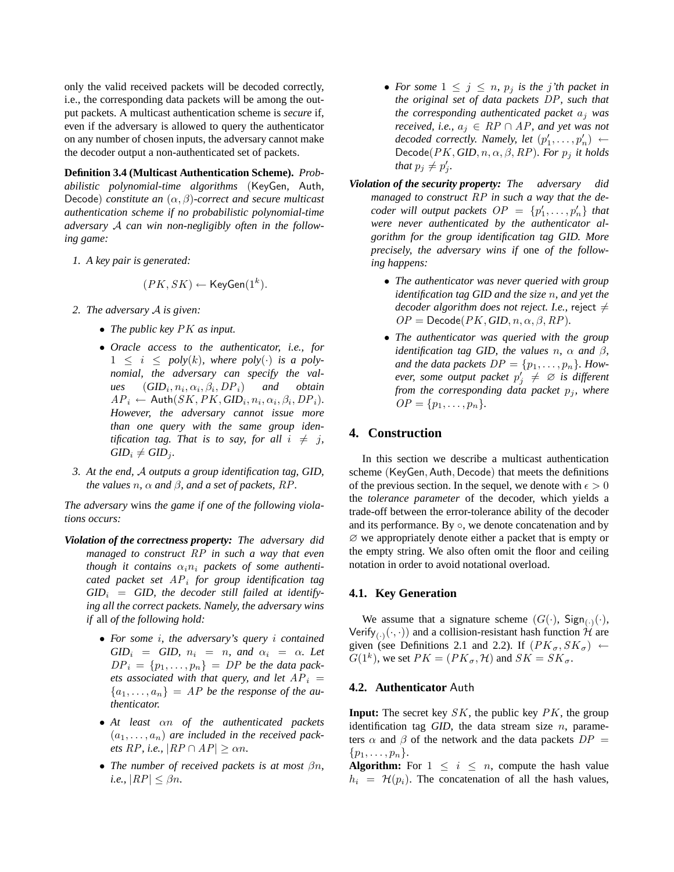only the valid received packets will be decoded correctly, i.e., the corresponding data packets will be among the output packets. A multicast authentication scheme is *secure* if, even if the adversary is allowed to query the authenticator on any number of chosen inputs, the adversary cannot make the decoder output a non-authenticated set of packets.

**Definition 3.4 (Multicast Authentication Scheme).** *Probabilistic polynomial-time algorithms* (KeyGen*,* Auth*,* Decode) *constitute an* (α, β)*-correct and secure multicast authentication scheme if no probabilistic polynomial-time adversary* A *can win non-negligibly often in the following game:*

*1. A key pair is generated:*

$$
(PK, SK) \leftarrow \mathsf{KeyGen}(1^k).
$$

- *2. The adversary* A *is given:*
	- *The public key* PK *as input.*
	- *Oracle access to the authenticator, i.e., for*  $1 \leq i \leq poly(k)$ , where  $poly(\cdot)$  is a poly*nomial, the adversary can specify the val* $ues \quad (GID_i, n_i, \alpha_i, \beta_i, DP_i) \quad and \quad obtain$  $AP_i \leftarrow \mathsf{Auth}(SK, PK, GID_i, n_i, \alpha_i, \beta_i, DP_i).$ *However, the adversary cannot issue more than one query with the same group identification tag. That is to say, for all*  $i \neq j$ ,  $GID_i \neq GID_j$ .
- *3. At the end,* A *outputs a group identification tag, GID, the values n,*  $\alpha$  *and*  $\beta$ *, and a set of packets, RP.*

*The adversary* wins *the game if one of the following violations occurs:*

- *Violation of the correctness property: The adversary did managed to construct* RP *in such a way that even though it contains*  $\alpha_i n_i$  *packets of some authenticated packet set* AP<sup>i</sup> *for group identification tag*  $GID_i = GID$ , the *decoder still failed at identifying all the correct packets. Namely, the adversary wins if* all *of the following hold:*
	- *For some* i*, the adversary's query* i *contained*  $GID_i = GID$ ,  $n_i = n$ , and  $\alpha_i = \alpha$ . Let  $DP_i = \{p_1, \ldots, p_n\} = DP$  *be the data packets associated with that query, and let*  $AP_i$  =  ${a_1, \ldots, a_n} = AP$  *be the response of the authenticator.*
	- *At least* αn *of the authenticated packets*  $(a_1, \ldots, a_n)$  are *included in the received packets*  $RP$ *, i.e.,*  $|RP \cap AP| \geq \alpha n$ *.*
	- *The number of received packets is at most* βn*, i.e.,*  $|RP| \leq \beta n$ *.*
- For some  $1 \leq j \leq n$ ,  $p_j$  *is the j'th packet in the original set of data packets* DP*, such that the corresponding authenticated packet* a<sup>j</sup> *was received, i.e.,*  $a_j \in RP \cap AP$ *, and yet was not decoded correctly. Namely, let*  $(p'_1, \ldots, p'_n) \leftarrow$  $Decode(PK, GID, n, \alpha, \beta, RP)$ *. For*  $p_i$  *it holds that*  $p_j \neq p'_j$ .
- *Violation of the security property: The adversary did managed to construct* RP *in such a way that the decoder* will output packets  $OP = \{p'_1, \ldots, p'_n\}$  that *were never authenticated by the authenticator algorithm for the group identification tag GID. More precisely, the adversary wins if* one *of the following happens:*
	- *The authenticator was never queried with group identification tag GID and the size* n*, and yet the decoder algorithm does not reject. I.e., reject*  $\neq$  $OP = \text{Decode}(PK, GID, n, \alpha, \beta, RP)$ .
	- *The authenticator was queried with the group identification tag GID, the values n,*  $\alpha$  *and*  $\beta$ *, and the data packets*  $DP = \{p_1, \ldots, p_n\}$ *. However, some output packet*  $p'_j \neq \emptyset$  *is different from the corresponding data packet*  $p_j$ *, where*  $OP = \{p_1, \ldots, p_n\}.$

## **4. Construction**

In this section we describe a multicast authentication scheme (KeyGen, Auth, Decode) that meets the definitions of the previous section. In the sequel, we denote with  $\epsilon > 0$ the *tolerance parameter* of the decoder, which yields a trade-off between the error-tolerance ability of the decoder and its performance. By ◦, we denote concatenation and by ∅ we appropriately denote either a packet that is empty or the empty string. We also often omit the floor and ceiling notation in order to avoid notational overload.

#### **4.1. Key Generation**

We assume that a signature scheme  $(G(\cdot), Sign_{(\cdot)}(\cdot),$ Verify<sub>(·)</sub>(·,·)) and a collision-resistant hash function  $H$  are given (see Definitions 2.1 and 2.2). If  $(PK_{\sigma}, SK_{\sigma}) \leftarrow$  $G(1^k)$ , we set  $PK = (PK_{\sigma}, \mathcal{H})$  and  $SK = SK_{\sigma}$ .

#### **4.2. Authenticator** Auth

**Input:** The secret key  $SK$ , the public key  $PK$ , the group identification tag  $GID$ , the data stream size  $n$ , parameters  $\alpha$  and  $\beta$  of the network and the data packets  $DP =$  $\{p_1,\ldots,p_n\}.$ 

**Algorithm:** For  $1 \leq i \leq n$ , compute the hash value  $h_i = H(p_i)$ . The concatenation of all the hash values,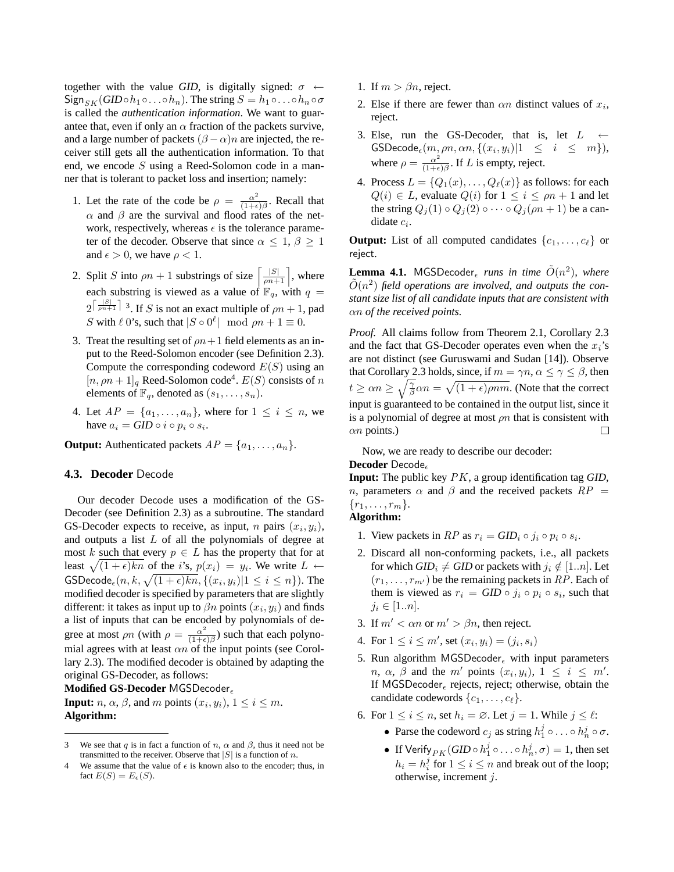together with the value *GID*, is digitally signed:  $\sigma \leftarrow$  $Sign_{SK}(GID \circ h_1 \circ \ldots \circ h_n)$ . The string  $S = h_1 \circ \ldots \circ h_n \circ \sigma$ is called the *authentication information*. We want to guarantee that, even if only an  $\alpha$  fraction of the packets survive, and a large number of packets  $(β - α)n$  are injected, the receiver still gets all the authentication information. To that end, we encode S using a Reed-Solomon code in a manner that is tolerant to packet loss and insertion; namely:

- 1. Let the rate of the code be  $\rho = \frac{\alpha^2}{(1+\epsilon)}$  $\frac{\alpha^2}{(1+\epsilon)\beta}$ . Recall that α and β are the survival and flood rates of the network, respectively, whereas  $\epsilon$  is the tolerance parameter of the decoder. Observe that since  $\alpha \leq 1, \beta \geq 1$ and  $\epsilon > 0$ , we have  $\rho < 1$ .
- 2. Split *S* into  $\rho n + 1$  substrings of size  $\left[\frac{|S|}{\rho n+1}\right]$ , where each substring is viewed as a value of  $\mathbb{F}_q$ , with  $q =$  $2^{\left\lceil \frac{|S|}{\rho n+1} \right\rceil}$  3. If S is not an exact multiple of  $\rho n + 1$ , pad S with  $\ell$  0's, such that  $|S \circ 0^{\ell}| \mod \rho n + 1 \equiv 0$ .
- 3. Treat the resulting set of  $\rho n+1$  field elements as an input to the Reed-Solomon encoder (see Definition 2.3). Compute the corresponding codeword  $E(S)$  using an  $[n, \rho n + 1]_q$  Reed-Solomon code<sup>4</sup>.  $E(S)$  consists of n elements of  $\mathbb{F}_q$ , denoted as  $(s_1, \ldots, s_n)$ .
- 4. Let  $AP = \{a_1, \ldots, a_n\}$ , where for  $1 \leq i \leq n$ , we have  $a_i = GID \circ i \circ p_i \circ s_i$ .

**Output:** Authenticated packets  $AP = \{a_1, \ldots, a_n\}.$ 

#### **4.3. Decoder** Decode

Our decoder Decode uses a modification of the GS-Decoder (see Definition 2.3) as a subroutine. The standard GS-Decoder expects to receive, as input, n pairs  $(x_i, y_i)$ , and outputs a list  $L$  of all the polynomials of degree at most k such that every  $p \in L$  has the property that for at least  $\sqrt{(1 + \epsilon)kn}$  of the *i*'s,  $p(x_i) = y_i$ . We write  $L \leftarrow$  $\mathsf{GSDecode}_\epsilon(n, k, \sqrt{(1+\epsilon)kn}, \{(x_i, y_i)|1\leq i\leq n\}).$  The modified decoder is specified by parameters that are slightly different: it takes as input up to  $\beta n$  points  $(x_i, y_i)$  and finds a list of inputs that can be encoded by polynomials of degree at most  $\rho n$  (with  $\rho = \frac{\alpha^2}{(1+\epsilon)}$  $\frac{\alpha^2}{(1+\epsilon)\beta}$ ) such that each polynomial agrees with at least  $\alpha n$  of the input points (see Corollary 2.3). The modified decoder is obtained by adapting the original GS-Decoder, as follows:

**Modified GS-Decoder** MGSDecoder<sub>e</sub> **Input:** *n*,  $\alpha$ ,  $\beta$ , and *m* points  $(x_i, y_i)$ ,  $1 \le i \le m$ .

**Algorithm:**

- 1. If  $m > \beta n$ , reject.
- 2. Else if there are fewer than  $\alpha n$  distinct values of  $x_i$ , reject.
- 3. Else, run the GS-Decoder, that is, let  $L \leftarrow$  $\mathsf{GSDecode}_\epsilon(m,\rho n, \alpha n, \{(x_i,y_i)|1\quad \leq \quad i \quad \leq \quad m\}),$ where  $\rho = \frac{\alpha^2}{(1+\epsilon)}$  $\frac{\alpha^2}{(1+\epsilon)\beta}$ . If L is empty, reject.
- 4. Process  $L = \{Q_1(x), \ldots, Q_\ell(x)\}\$ as follows: for each  $Q(i) \in L$ , evaluate  $Q(i)$  for  $1 \leq i \leq \rho n + 1$  and let the string  $Q_j(1) \circ Q_j(2) \circ \cdots \circ Q_j(pn+1)$  be a candidate  $c_i$ .

**Output:** List of all computed candidates  $\{c_1, \ldots, c_\ell\}$  or reject.

**Lemma 4.1.** MGSDecoder<sub> $\epsilon$ </sub> *runs in time*  $\tilde{O}(n^2)$ , *where*  $\tilde{O}(n^2)$  field operations are involved, and outputs the con*stant size list of all candidate inputs that are consistent with* αn *of the received points.*

*Proof.* All claims follow from Theorem 2.1, Corollary 2.3 and the fact that GS-Decoder operates even when the  $x_i$ 's are not distinct (see Guruswami and Sudan [14]). Observe that Corollary 2.3 holds, since, if  $m = \gamma n, \alpha \leq \gamma \leq \beta$ , then  $t \geq \alpha n \geq \sqrt{\frac{\gamma}{\beta}} \alpha n = \sqrt{(1+\epsilon)\rho n m}$ . (Note that the correct input is guaranteed to be contained in the output list, since it is a polynomial of degree at most  $\rho n$  that is consistent with  $\alpha n$  points.)  $\Box$ 

Now, we are ready to describe our decoder:

## Decoder Decode<sub>e</sub>

**Input:** The public key PK, a group identification tag *GID*, *n*, parameters  $\alpha$  and  $\beta$  and the received packets  $RP =$  $\{r_1, \ldots, r_m\}.$ 

## **Algorithm:**

- 1. View packets in  $RP$  as  $r_i = GID_i \circ j_i \circ p_i \circ s_i$ .
- 2. Discard all non-conforming packets, i.e., all packets for which  $GID_i \neq GID$  or packets with  $j_i \notin [1..n]$ . Let  $(r_1, \ldots, r_{m'})$  be the remaining packets in RP. Each of them is viewed as  $r_i = GID \circ j_i \circ p_i \circ s_i$ , such that  $j_i \in [1..n].$
- 3. If  $m' < \alpha n$  or  $m' > \beta n$ , then reject.
- 4. For  $1 \le i \le m'$ , set  $(x_i, y_i) = (j_i, s_i)$
- 5. Run algorithm MGSDecoder $_{\epsilon}$  with input parameters *n*,  $\alpha$ ,  $\beta$  and the *m'* points  $(x_i, y_i)$ ,  $1 \le i \le m'$ . If MGSDecoder $_{\epsilon}$  rejects, reject; otherwise, obtain the candidate codewords  $\{c_1, \ldots, c_\ell\}.$
- 6. For  $1 \leq i \leq n$ , set  $h_i = \emptyset$ . Let  $j = 1$ . While  $j \leq \ell$ :
	- Parse the codeword  $c_j$  as string  $h_1^j \circ \dots \circ h_n^j \circ \sigma$ .
	- If  $\mathsf{Verify}_{PK}(GID \circ h_1^j \circ \ldots \circ h_n^j, \sigma) = 1$ , then set  $h_i = h_i^j$  for  $1 \le i \le n$  and break out of the loop; otherwise, increment j.

<sup>3</sup> We see that q is in fact a function of n,  $\alpha$  and  $\beta$ , thus it need not be transmitted to the receiver. Observe that  $|S|$  is a function of n.

<sup>4</sup> We assume that the value of  $\epsilon$  is known also to the encoder; thus, in fact  $E(S) = E_{\epsilon}(S)$ .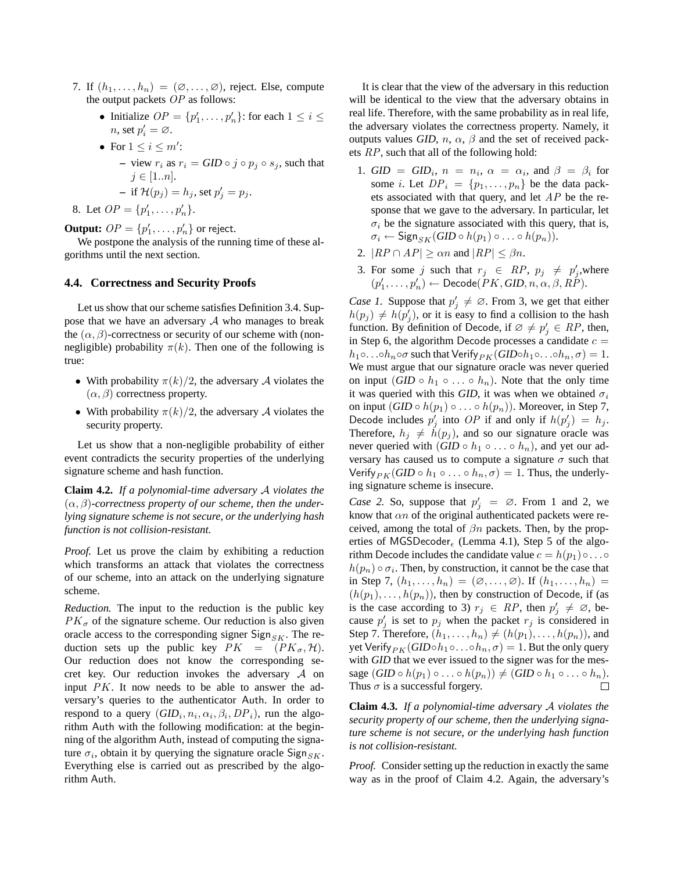- 7. If  $(h_1, \ldots, h_n) = (\emptyset, \ldots, \emptyset)$ , reject. Else, compute the output packets OP as follows:
	- Initialize  $OP = \{p'_1, \ldots, p'_n\}$ : for each  $1 \leq i \leq$ *n*, set  $p'_i = \emptyset$ .
	- For  $1 \leq i \leq m'$ : – view  $r_i$  as  $r_i = GID \circ j \circ p_j \circ s_j$ , such that  $j \in [1..n].$

- if 
$$
\mathcal{H}(p_j) = h_j
$$
, set  $p'_j = p_j$ .

8. Let  $OP = \{p'_1, \ldots, p'_n\}.$ 

**Output:**  $OP = \{p'_1, \ldots, p'_n\}$  or reject.

We postpone the analysis of the running time of these algorithms until the next section.

#### **4.4. Correctness and Security Proofs**

Let us show that our scheme satisfies Definition 3.4. Suppose that we have an adversary  $A$  who manages to break the  $(\alpha, \beta)$ -correctness or security of our scheme with (nonnegligible) probability  $\pi(k)$ . Then one of the following is true:

- With probability  $\pi(k)/2$ , the adversary A violates the  $(\alpha, \beta)$  correctness property.
- With probability  $\pi(k)/2$ , the adversary A violates the security property.

Let us show that a non-negligible probability of either event contradicts the security properties of the underlying signature scheme and hash function.

**Claim 4.2.** *If a polynomial-time adversary* A *violates the*  $(\alpha, \beta)$ -correctness property of our scheme, then the under*lying signature scheme is not secure, or the underlying hash function is not collision-resistant.*

*Proof.* Let us prove the claim by exhibiting a reduction which transforms an attack that violates the correctness of our scheme, into an attack on the underlying signature scheme.

*Reduction.* The input to the reduction is the public key  $PK_{\sigma}$  of the signature scheme. Our reduction is also given oracle access to the corresponding signer  $\text{Sign}_{SK}$ . The reduction sets up the public key  $PK = (PK_{\sigma}, \mathcal{H})$ . Our reduction does not know the corresponding secret key. Our reduction invokes the adversary  $\mathcal A$  on input PK. It now needs to be able to answer the adversary's queries to the authenticator Auth. In order to respond to a query  $(GID_i, n_i, \alpha_i, \beta_i, DP_i)$ , run the algorithm Auth with the following modification: at the beginning of the algorithm Auth, instead of computing the signature  $\sigma_i$ , obtain it by querying the signature oracle Sign $_{SK}$ . Everything else is carried out as prescribed by the algorithm Auth.

It is clear that the view of the adversary in this reduction will be identical to the view that the adversary obtains in real life. Therefore, with the same probability as in real life, the adversary violates the correctness property. Namely, it outputs values *GID*,  $n$ ,  $\alpha$ ,  $\beta$  and the set of received packets RP, such that all of the following hold:

- 1.  $GID = GID_i$ ,  $n = n_i$ ,  $\alpha = \alpha_i$ , and  $\beta = \beta_i$  for some *i*. Let  $DP_i = \{p_1, \ldots, p_n\}$  be the data packets associated with that query, and let  $AP$  be the response that we gave to the adversary. In particular, let  $\sigma_i$  be the signature associated with this query, that is,  $\sigma_i \leftarrow$  Sign<sub>SK</sub>(*GID*  $\circ$   $h(p_1) \circ \dots \circ h(p_n)$ ).
- 2.  $|RP \cap AP| \geq \alpha n$  and  $|RP| \leq \beta n$ .
- 3. For some j such that  $r_j \in RP$ ,  $p_j \neq p'_j$ , where  $(p'_1,\ldots,p'_n) \leftarrow \mathsf{Decode}(\overset{\_}{P}K,\textit{GID}, n, \alpha, \beta, \overset{\_}{R}\overset{\_}{P}).$

*Case 1.* Suppose that  $p'_j \neq \emptyset$ . From 3, we get that either  $h(p_j) \neq h(p'_j)$ , or it is easy to find a collision to the hash function. By definition of Decode, if  $\emptyset \neq p'_{j} \in RP$ , then, in Step 6, the algorithm Decode processes a candidate  $c =$  $h_1 \circ \ldots \circ h_n \circ \sigma$  such that Verify  $p_K(GID \circ h_1 \circ \ldots \circ h_n, \sigma) = 1$ . We must argue that our signature oracle was never queried on input  $(GID \circ h_1 \circ \ldots \circ h_n)$ . Note that the only time it was queried with this *GID*, it was when we obtained  $\sigma_i$ on input  $(GID \circ h(p_1) \circ \ldots \circ h(p_n))$ . Moreover, in Step 7, Decode includes  $p'_j$  into OP if and only if  $h(p'_j) = h_j$ . Therefore,  $h_j \neq h(p_j)$ , and so our signature oracle was never queried with  $(GID \circ h_1 \circ \ldots \circ h_n)$ , and yet our adversary has caused us to compute a signature  $\sigma$  such that Verify<sub>PK</sub>(*GID* ∘  $h_1$  ∘ . . . ○  $h_n$ ,  $\sigma$ ) = 1. Thus, the underlying signature scheme is insecure.

*Case* 2. So, suppose that  $p'_j = \emptyset$ . From 1 and 2, we know that  $\alpha n$  of the original authenticated packets were received, among the total of  $\beta n$  packets. Then, by the properties of MGSDecoder<sub> $\epsilon$ </sub> (Lemma 4.1), Step 5 of the algorithm Decode includes the candidate value  $c = h(p_1) \circ \dots \circ$  $h(p_n) \circ \sigma_i$ . Then, by construction, it cannot be the case that in Step 7,  $(h_1, \ldots, h_n) = (\emptyset, \ldots, \emptyset)$ . If  $(h_1, \ldots, h_n) =$  $(h(p_1), \ldots, h(p_n))$ , then by construction of Decode, if (as is the case according to 3)  $r_j \in RP$ , then  $p'_j \neq \emptyset$ , because  $p'_j$  is set to  $p_j$  when the packet  $r_j$  is considered in Step 7. Therefore,  $(h_1, \ldots, h_n) \neq (h(p_1), \ldots, h(p_n))$ , and yet Verify<sub>PK</sub>( $GID \circ h_1 \circ \ldots \circ h_n$ ,  $\sigma$ ) = 1. But the only query with *GID* that we ever issued to the signer was for the message  $(GID \circ h(p_1) \circ \ldots \circ h(p_n)) \neq (GID \circ h_1 \circ \ldots \circ h_n).$ Thus  $\sigma$  is a successful forgery. П

**Claim 4.3.** *If a polynomial-time adversary* A *violates the security property of our scheme, then the underlying signature scheme is not secure, or the underlying hash function is not collision-resistant.*

*Proof.* Consider setting up the reduction in exactly the same way as in the proof of Claim 4.2. Again, the adversary's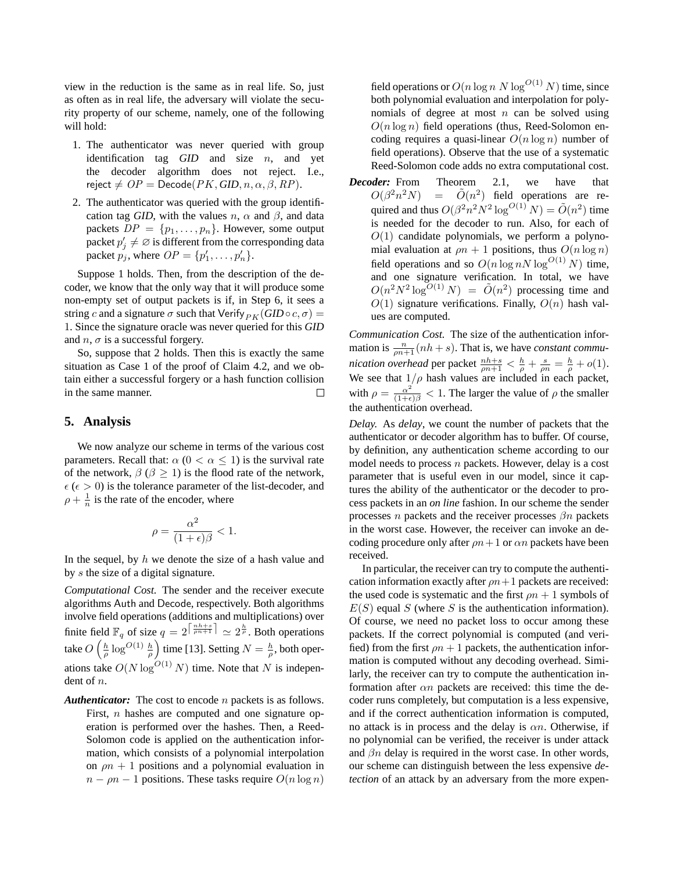view in the reduction is the same as in real life. So, just as often as in real life, the adversary will violate the security property of our scheme, namely, one of the following will hold:

- 1. The authenticator was never queried with group identification tag *GID* and size n, and yet the decoder algorithm does not reject. I.e.,  $reject \neq OP = \text{Decode}(PK, GID, n, \alpha, \beta, RP).$
- 2. The authenticator was queried with the group identification tag *GID*, with the values  $n$ ,  $\alpha$  and  $\beta$ , and data packets  $DP = \{p_1, \ldots, p_n\}$ . However, some output packet  $p'_j \neq \emptyset$  is different from the corresponding data packet  $p_j$ , where  $OP = \{p'_1, \ldots, p'_n\}.$

Suppose 1 holds. Then, from the description of the decoder, we know that the only way that it will produce some non-empty set of output packets is if, in Step 6, it sees a string c and a signature  $\sigma$  such that Verify<sub>PK</sub>( $GID \circ c, \sigma$ ) = 1. Since the signature oracle was never queried for this *GID* and  $n, \sigma$  is a successful forgery.

So, suppose that 2 holds. Then this is exactly the same situation as Case 1 of the proof of Claim 4.2, and we obtain either a successful forgery or a hash function collision in the same manner.  $\Box$ 

#### **5. Analysis**

We now analyze our scheme in terms of the various cost parameters. Recall that:  $\alpha$  ( $0 < \alpha \leq 1$ ) is the survival rate of the network,  $\beta$  ( $\beta \ge 1$ ) is the flood rate of the network,  $\epsilon$  ( $\epsilon$  > 0) is the tolerance parameter of the list-decoder, and  $\rho + \frac{1}{n}$  is the rate of the encoder, where

$$
\rho = \frac{\alpha^2}{(1+\epsilon)\beta} < 1.
$$

In the sequel, by  $h$  we denote the size of a hash value and by s the size of a digital signature.

*Computational Cost.* The sender and the receiver execute algorithms Auth and Decode, respectively. Both algorithms involve field operations (additions and multiplications) over finite field  $\mathbb{F}_q$  of size  $q = 2^{\left\lceil \frac{nh+s}{\rho n+1} \right\rceil} \simeq 2^{\frac{h}{\rho}}$ . Both operations take  $O\left(\frac{h}{\rho}\log^{O(1)}\frac{h}{\rho}\right)$  time [13]. Setting  $N=\frac{h}{\rho}$ , both operations take  $O(N \log^{O(1)} N)$  time. Note that N is independent of n.

*Authenticator:* The cost to encode *n* packets is as follows. First, n hashes are computed and one signature operation is performed over the hashes. Then, a Reed-Solomon code is applied on the authentication information, which consists of a polynomial interpolation on  $\rho n + 1$  positions and a polynomial evaluation in  $n - \rho n - 1$  positions. These tasks require  $O(n \log n)$ 

field operations or  $O(n \log n N \log^{O(1)} N)$  time, since both polynomial evaluation and interpolation for polynomials of degree at most  $n$  can be solved using  $O(n \log n)$  field operations (thus, Reed-Solomon encoding requires a quasi-linear  $O(n \log n)$  number of field operations). Observe that the use of a systematic Reed-Solomon code adds no extra computational cost.

*Decoder:* From Theorem 2.1, we have that  $O(\beta^2 n$  $e^{2}N$  =  $\tilde{O}(n^2)$  field operations are required and thus  $O(\beta^2 n^2 N^2 \log^{O(1)} N) = \tilde{O}(n^2)$  time is needed for the decoder to run. Also, for each of  $O(1)$  candidate polynomials, we perform a polynomial evaluation at  $\rho n + 1$  positions, thus  $O(n \log n)$ field operations and so  $O(n \log n N \log^{O(1)} N)$  time, and one signature verification. In total, we have  $O(n^2 N^2 \log^{O(1)} N) = \tilde{O}(n^2)$  processing time and  $O(1)$  signature verifications. Finally,  $O(n)$  hash values are computed.

*Communication Cost.* The size of the authentication information is  $\frac{n}{\rho n+1} (nh + s)$ . That is, we have *constant communication overhead* per packet  $\frac{nh+s}{\rho n+1} < \frac{h}{\rho} + \frac{s}{\rho n} = \frac{h}{\rho} + o(1)$ . We see that  $1/\rho$  hash values are included in each packet, with  $\rho = \frac{\alpha^2}{(1+\epsilon)\beta} < 1$ . The larger the value of  $\rho$  the smaller the authentication overhead.

*Delay.* As *delay*, we count the number of packets that the authenticator or decoder algorithm has to buffer. Of course, by definition, any authentication scheme according to our model needs to process  $n$  packets. However, delay is a cost parameter that is useful even in our model, since it captures the ability of the authenticator or the decoder to process packets in an *on line* fashion. In our scheme the sender processes *n* packets and the receiver processes  $\beta n$  packets in the worst case. However, the receiver can invoke an decoding procedure only after  $\rho n+1$  or  $\alpha n$  packets have been received.

In particular, the receiver can try to compute the authentication information exactly after  $\rho n+1$  packets are received: the used code is systematic and the first  $\rho n + 1$  symbols of  $E(S)$  equal S (where S is the authentication information). Of course, we need no packet loss to occur among these packets. If the correct polynomial is computed (and verified) from the first  $\rho n + 1$  packets, the authentication information is computed without any decoding overhead. Similarly, the receiver can try to compute the authentication information after  $\alpha n$  packets are received: this time the decoder runs completely, but computation is a less expensive, and if the correct authentication information is computed, no attack is in process and the delay is  $\alpha n$ . Otherwise, if no polynomial can be verified, the receiver is under attack and  $\beta n$  delay is required in the worst case. In other words, our scheme can distinguish between the less expensive *detection* of an attack by an adversary from the more expen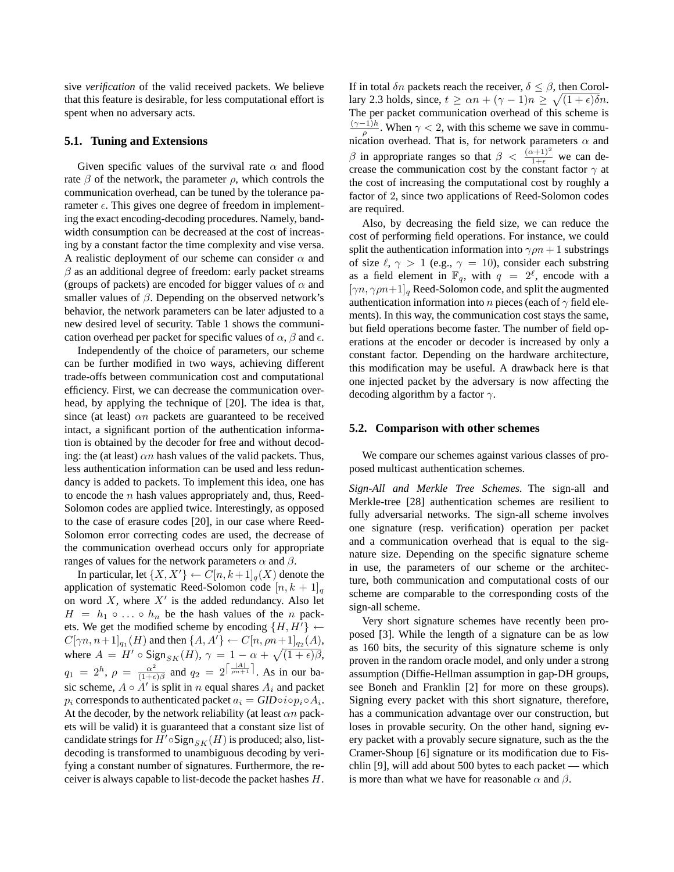sive *verification* of the valid received packets. We believe that this feature is desirable, for less computational effort is spent when no adversary acts.

#### **5.1. Tuning and Extensions**

Given specific values of the survival rate  $\alpha$  and flood rate  $\beta$  of the network, the parameter  $\rho$ , which controls the communication overhead, can be tuned by the tolerance parameter  $\epsilon$ . This gives one degree of freedom in implementing the exact encoding-decoding procedures. Namely, bandwidth consumption can be decreased at the cost of increasing by a constant factor the time complexity and vise versa. A realistic deployment of our scheme can consider  $\alpha$  and  $\beta$  as an additional degree of freedom: early packet streams (groups of packets) are encoded for bigger values of  $\alpha$  and smaller values of  $\beta$ . Depending on the observed network's behavior, the network parameters can be later adjusted to a new desired level of security. Table 1 shows the communication overhead per packet for specific values of  $\alpha$ ,  $\beta$  and  $\epsilon$ .

Independently of the choice of parameters, our scheme can be further modified in two ways, achieving different trade-offs between communication cost and computational efficiency. First, we can decrease the communication overhead, by applying the technique of [20]. The idea is that, since (at least)  $\alpha n$  packets are guaranteed to be received intact, a significant portion of the authentication information is obtained by the decoder for free and without decoding: the (at least)  $\alpha n$  hash values of the valid packets. Thus, less authentication information can be used and less redundancy is added to packets. To implement this idea, one has to encode the  $n$  hash values appropriately and, thus, Reed-Solomon codes are applied twice. Interestingly, as opposed to the case of erasure codes [20], in our case where Reed-Solomon error correcting codes are used, the decrease of the communication overhead occurs only for appropriate ranges of values for the network parameters  $\alpha$  and  $\beta$ .

In particular, let  $\{X, X'\} \leftarrow C[n, k+1]_q(X)$  denote the application of systematic Reed-Solomon code  $[n, k+1]_q$ on word  $X$ , where  $X'$  is the added redundancy. Also let  $H = h_1 \circ \ldots \circ h_n$  be the hash values of the *n* packets. We get the modified scheme by encoding  $\{H, H'\} \leftarrow$  $C[\gamma n, n+1]_{q_1}(H)$  and then  $\{A, A'\} \leftarrow C[n, \rho n+1]_{q_2}(A)$ , where  $A = H' \circ \text{Sign}_{SK}(H)$ ,  $\gamma = 1 - \alpha + \sqrt{(1 + \epsilon)\beta}$ ,  $q_1 = 2^h, \, \rho = \frac{\alpha^2}{(1+\epsilon)}$  $\frac{\alpha^2}{(1+\epsilon)\beta}$  and  $q_2 = 2^{\left[\frac{|A|}{\rho n+1}\right]}$ . As in our basic scheme,  $A \circ A'$  is split in n equal shares  $A_i$  and packet  $p_i$  corresponds to authenticated packet  $a_i = GID \circ i \circ p_i \circ A_i$ . At the decoder, by the network reliability (at least  $\alpha n$  packets will be valid) it is guaranteed that a constant size list of candidate strings for  $H' \circ \text{Sign}_{SK}(H)$  is produced; also, listdecoding is transformed to unambiguous decoding by verifying a constant number of signatures. Furthermore, the receiver is always capable to list-decode the packet hashes H.

If in total  $\delta n$  packets reach the receiver,  $\delta \leq \beta$ , then Corollary 2.3 holds, since,  $t \ge \alpha n + (\gamma - 1)n \ge \sqrt{(1 + \epsilon)\delta}n$ . The per packet communication overhead of this scheme is  $(\gamma-1)h$  $\frac{(-1)^n}{\rho}$ . When  $\gamma < 2$ , with this scheme we save in communication overhead. That is, for network parameters  $\alpha$  and β in appropriate ranges so that  $\beta < \frac{(\alpha+1)^2}{1+\epsilon}$  we can decrease the communication cost by the constant factor  $\gamma$  at the cost of increasing the computational cost by roughly a factor of 2, since two applications of Reed-Solomon codes are required.

Also, by decreasing the field size, we can reduce the cost of performing field operations. For instance, we could split the authentication information into  $\gamma \rho n + 1$  substrings of size  $\ell, \gamma > 1$  (e.g.,  $\gamma = 10$ ), consider each substring as a field element in  $\mathbb{F}_q$ , with  $q = 2^{\ell}$ , encode with a  $[\gamma n, \gamma \rho n+1]_q$  Reed-Solomon code, and split the augmented authentication information into n pieces (each of  $\gamma$  field elements). In this way, the communication cost stays the same, but field operations become faster. The number of field operations at the encoder or decoder is increased by only a constant factor. Depending on the hardware architecture, this modification may be useful. A drawback here is that one injected packet by the adversary is now affecting the decoding algorithm by a factor  $\gamma$ .

#### **5.2. Comparison with other schemes**

We compare our schemes against various classes of proposed multicast authentication schemes.

*Sign-All and Merkle Tree Schemes.* The sign-all and Merkle-tree [28] authentication schemes are resilient to fully adversarial networks. The sign-all scheme involves one signature (resp. verification) operation per packet and a communication overhead that is equal to the signature size. Depending on the specific signature scheme in use, the parameters of our scheme or the architecture, both communication and computational costs of our scheme are comparable to the corresponding costs of the sign-all scheme.

Very short signature schemes have recently been proposed [3]. While the length of a signature can be as low as 160 bits, the security of this signature scheme is only proven in the random oracle model, and only under a strong assumption (Diffie-Hellman assumption in gap-DH groups, see Boneh and Franklin [2] for more on these groups). Signing every packet with this short signature, therefore, has a communication advantage over our construction, but loses in provable security. On the other hand, signing every packet with a provably secure signature, such as the the Cramer-Shoup [6] signature or its modification due to Fischlin [9], will add about 500 bytes to each packet — which is more than what we have for reasonable  $\alpha$  and  $\beta$ .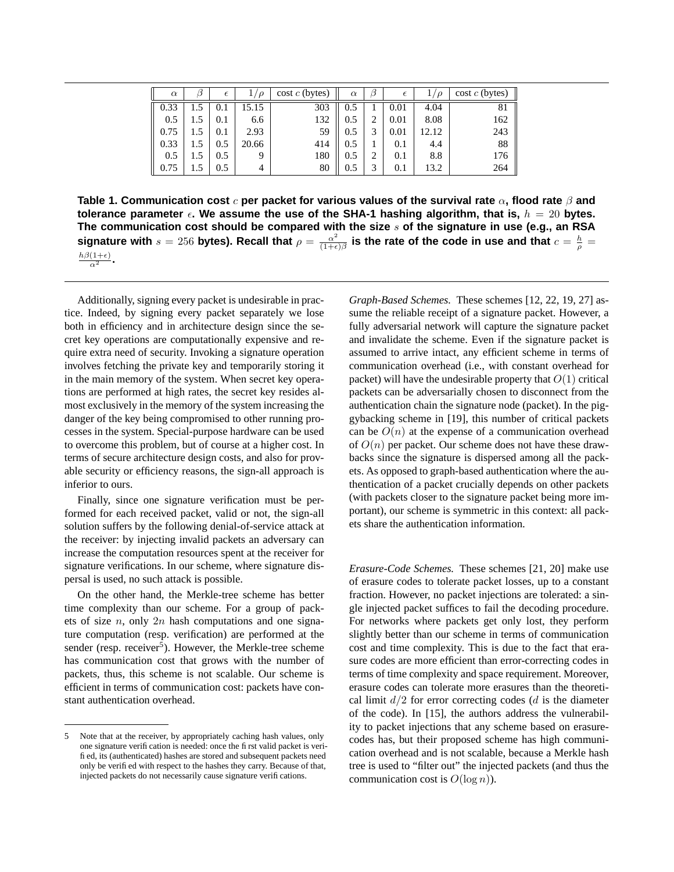| $\alpha$ |     | $\epsilon$ | $\rho$ | $\cos t c$ (bytes) | $\alpha$ | Ø | $\epsilon$ | $1/\rho$ | $\cot c$ (bytes) |
|----------|-----|------------|--------|--------------------|----------|---|------------|----------|------------------|
| 0.33     |     | U. I       | 15.15  | 303                | 0.5      |   | 0.01       | 4.04     | 81               |
| 0.5      |     | 0.1        | 6.6    | 132                | 0.5      |   | 0.01       | 8.08     | 162              |
| 0.75     |     | 0.1        | 2.93   | 59                 | 0.5      |   | 0.01       | 2.12     | 243              |
| 0.33     |     | 0.5        | 20.66  | 414                | 0.5      |   | 0.1        | 4.4      | 88               |
| 0.5      |     | 0.5        | Q      | 180                | 0.5      | າ | 0.1        | 8.8      | 176              |
| 0.75     | 1.5 | 0.5        | 4      | 80                 | 0.5      | 3 | 0.1        | 13.2     | 264              |

**Table 1. Communication cost** c **per packet for various values of the survival rate** α**, flood rate** β **and tolerance** parameter  $\epsilon$ . We assume the use of the SHA-1 hashing algorithm, that is,  $h = 20$  bytes. **The communication cost should be compared with the size** s **of the signature in use (e.g., an RSA signature** with  $s = 256$  bytes). Recall that  $\rho = \frac{\alpha^2}{(1+\epsilon)}$  $\frac{\alpha^2}{(1+\epsilon)\beta}$  is the rate of the code in use and that  $c = \frac{h}{\rho} =$  $\frac{h\beta(1+\epsilon)}{\alpha^2}$ .

Additionally, signing every packet is undesirable in practice. Indeed, by signing every packet separately we lose both in efficiency and in architecture design since the secret key operations are computationally expensive and require extra need of security. Invoking a signature operation involves fetching the private key and temporarily storing it in the main memory of the system. When secret key operations are performed at high rates, the secret key resides almost exclusively in the memory of the system increasing the danger of the key being compromised to other running processes in the system. Special-purpose hardware can be used to overcome this problem, but of course at a higher cost. In terms of secure architecture design costs, and also for provable security or efficiency reasons, the sign-all approach is inferior to ours.

Finally, since one signature verification must be performed for each received packet, valid or not, the sign-all solution suffers by the following denial-of-service attack at the receiver: by injecting invalid packets an adversary can increase the computation resources spent at the receiver for signature verifications. In our scheme, where signature dispersal is used, no such attack is possible.

On the other hand, the Merkle-tree scheme has better time complexity than our scheme. For a group of packets of size  $n$ , only  $2n$  hash computations and one signature computation (resp. verification) are performed at the sender (resp. receiver<sup>5</sup>). However, the Merkle-tree scheme has communication cost that grows with the number of packets, thus, this scheme is not scalable. Our scheme is efficient in terms of communication cost: packets have constant authentication overhead.

*Graph-Based Schemes.* These schemes [12, 22, 19, 27] assume the reliable receipt of a signature packet. However, a fully adversarial network will capture the signature packet and invalidate the scheme. Even if the signature packet is assumed to arrive intact, any efficient scheme in terms of communication overhead (i.e., with constant overhead for packet) will have the undesirable property that  $O(1)$  critical packets can be adversarially chosen to disconnect from the authentication chain the signature node (packet). In the piggybacking scheme in [19], this number of critical packets can be  $O(n)$  at the expense of a communication overhead of  $O(n)$  per packet. Our scheme does not have these drawbacks since the signature is dispersed among all the packets. As opposed to graph-based authentication where the authentication of a packet crucially depends on other packets (with packets closer to the signature packet being more important), our scheme is symmetric in this context: all packets share the authentication information.

*Erasure-Code Schemes.* These schemes [21, 20] make use of erasure codes to tolerate packet losses, up to a constant fraction. However, no packet injections are tolerated: a single injected packet suffices to fail the decoding procedure. For networks where packets get only lost, they perform slightly better than our scheme in terms of communication cost and time complexity. This is due to the fact that erasure codes are more efficient than error-correcting codes in terms of time complexity and space requirement. Moreover, erasure codes can tolerate more erasures than the theoretical limit  $d/2$  for error correcting codes (d is the diameter of the code). In [15], the authors address the vulnerability to packet injections that any scheme based on erasurecodes has, but their proposed scheme has high communication overhead and is not scalable, because a Merkle hash tree is used to "filter out" the injected packets (and thus the communication cost is  $O(\log n)$ ).

<sup>5</sup> Note that at the receiver, by appropriately caching hash values, only one signature verification is needed: once the first valid packet is verified, its (authenticated) hashes are stored and subsequent packets need only be verified with respect to the hashes they carry. Because of that, injected packets do not necessarily cause signature verifications.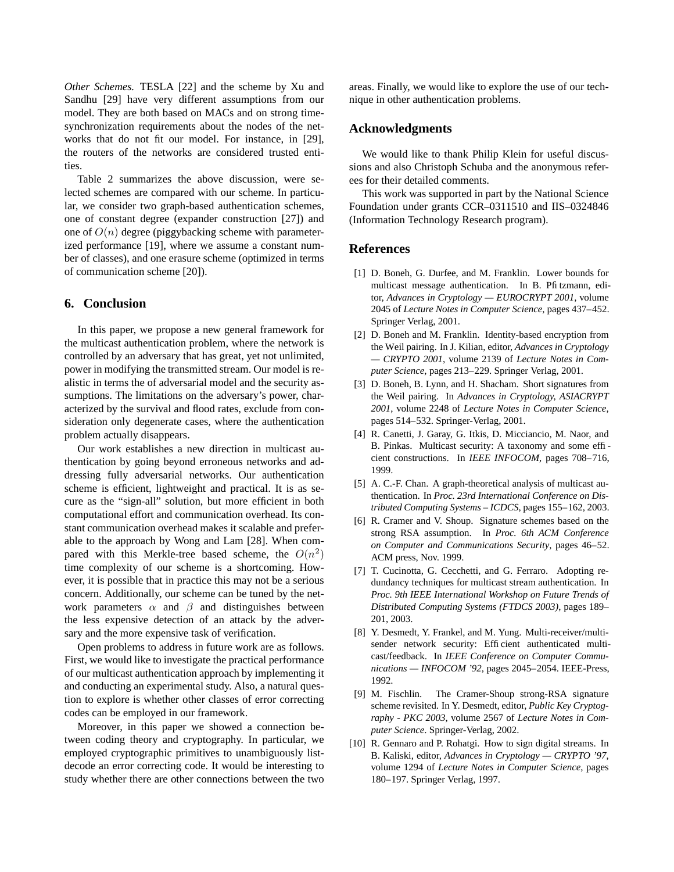*Other Schemes.* TESLA [22] and the scheme by Xu and Sandhu [29] have very different assumptions from our model. They are both based on MACs and on strong timesynchronization requirements about the nodes of the networks that do not fit our model. For instance, in [29], the routers of the networks are considered trusted entities.

Table 2 summarizes the above discussion, were selected schemes are compared with our scheme. In particular, we consider two graph-based authentication schemes, one of constant degree (expander construction [27]) and one of  $O(n)$  degree (piggybacking scheme with parameterized performance [19], where we assume a constant number of classes), and one erasure scheme (optimized in terms of communication scheme [20]).

#### **6. Conclusion**

In this paper, we propose a new general framework for the multicast authentication problem, where the network is controlled by an adversary that has great, yet not unlimited, power in modifying the transmitted stream. Our model is realistic in terms the of adversarial model and the security assumptions. The limitations on the adversary's power, characterized by the survival and flood rates, exclude from consideration only degenerate cases, where the authentication problem actually disappears.

Our work establishes a new direction in multicast authentication by going beyond erroneous networks and addressing fully adversarial networks. Our authentication scheme is efficient, lightweight and practical. It is as secure as the "sign-all" solution, but more efficient in both computational effort and communication overhead. Its constant communication overhead makes it scalable and preferable to the approach by Wong and Lam [28]. When compared with this Merkle-tree based scheme, the  $O(n^2)$ time complexity of our scheme is a shortcoming. However, it is possible that in practice this may not be a serious concern. Additionally, our scheme can be tuned by the network parameters  $\alpha$  and  $\beta$  and distinguishes between the less expensive detection of an attack by the adversary and the more expensive task of verification.

Open problems to address in future work are as follows. First, we would like to investigate the practical performance of our multicast authentication approach by implementing it and conducting an experimental study. Also, a natural question to explore is whether other classes of error correcting codes can be employed in our framework.

Moreover, in this paper we showed a connection between coding theory and cryptography. In particular, we employed cryptographic primitives to unambiguously listdecode an error correcting code. It would be interesting to study whether there are other connections between the two

areas. Finally, we would like to explore the use of our technique in other authentication problems.

## **Acknowledgments**

We would like to thank Philip Klein for useful discussions and also Christoph Schuba and the anonymous referees for their detailed comments.

This work was supported in part by the National Science Foundation under grants CCR–0311510 and IIS–0324846 (Information Technology Research program).

## **References**

- [1] D. Boneh, G. Durfee, and M. Franklin. Lower bounds for multicast message authentication. In B. Pfitzmann, editor, *Advances in Cryptology — EUROCRYPT 2001*, volume 2045 of *Lecture Notes in Computer Science*, pages 437–452. Springer Verlag, 2001.
- [2] D. Boneh and M. Franklin. Identity-based encryption from the Weil pairing. In J. Kilian, editor, *Advances in Cryptology — CRYPTO 2001*, volume 2139 of *Lecture Notes in Computer Science*, pages 213–229. Springer Verlag, 2001.
- [3] D. Boneh, B. Lynn, and H. Shacham. Short signatures from the Weil pairing. In *Advances in Cryptology, ASIACRYPT 2001*, volume 2248 of *Lecture Notes in Computer Science*, pages 514–532. Springer-Verlag, 2001.
- [4] R. Canetti, J. Garay, G. Itkis, D. Micciancio, M. Naor, and B. Pinkas. Multicast security: A taxonomy and some efficient constructions. In *IEEE INFOCOM*, pages 708–716, 1999.
- [5] A. C.-F. Chan. A graph-theoretical analysis of multicast authentication. In *Proc. 23rd International Conference on Distributed Computing Systems – ICDCS*, pages 155–162, 2003.
- [6] R. Cramer and V. Shoup. Signature schemes based on the strong RSA assumption. In *Proc. 6th ACM Conference on Computer and Communications Security*, pages 46–52. ACM press, Nov. 1999.
- [7] T. Cucinotta, G. Cecchetti, and G. Ferraro. Adopting redundancy techniques for multicast stream authentication. In *Proc. 9th IEEE International Workshop on Future Trends of Distributed Computing Systems (FTDCS 2003)*, pages 189– 201, 2003.
- [8] Y. Desmedt, Y. Frankel, and M. Yung. Multi-receiver/multisender network security: Efficient authenticated multicast/feedback. In *IEEE Conference on Computer Communications — INFOCOM '92*, pages 2045–2054. IEEE-Press, 1992.
- [9] M. Fischlin. The Cramer-Shoup strong-RSA signature scheme revisited. In Y. Desmedt, editor, *Public Key Cryptography - PKC 2003*, volume 2567 of *Lecture Notes in Computer Science*. Springer-Verlag, 2002.
- [10] R. Gennaro and P. Rohatgi. How to sign digital streams. In B. Kaliski, editor, *Advances in Cryptology — CRYPTO '97*, volume 1294 of *Lecture Notes in Computer Science*, pages 180–197. Springer Verlag, 1997.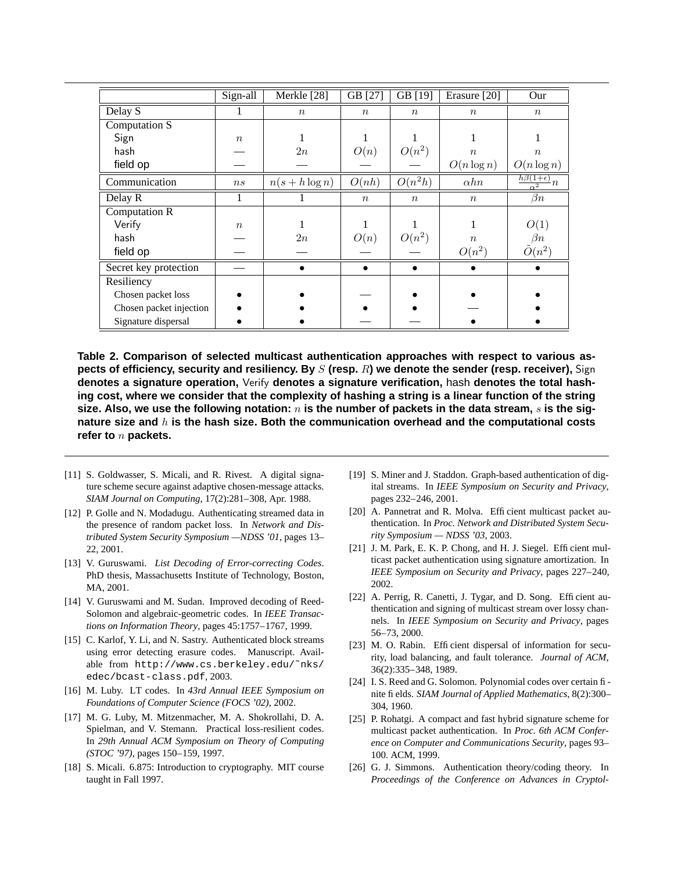|                            | Sign-all         | Merkle [28]      | GB [27]          | GB [19]          | Erasure [20]     | Our                                    |
|----------------------------|------------------|------------------|------------------|------------------|------------------|----------------------------------------|
| Delay S                    |                  | $\boldsymbol{n}$ | $\boldsymbol{n}$ | $\boldsymbol{n}$ | $\boldsymbol{n}$ | $\boldsymbol{n}$                       |
| Computation $\overline{S}$ |                  |                  |                  |                  |                  |                                        |
| Sign                       | $\boldsymbol{n}$ |                  |                  |                  |                  |                                        |
| hash                       |                  | 2n               | O(n)             | $O(n^2)$         | $\boldsymbol{n}$ | $\boldsymbol{n}$                       |
| field op                   |                  |                  |                  |                  | $O(n \log n)$    | $O(n \log n)$                          |
| Communication              | ns               | $n(s+h\log n)$   | O(nh)            | $O(n^2h)$        | $\alpha h n$     | $\frac{h\beta(1+\epsilon)}{\alpha^2}n$ |
| Delay R                    |                  |                  | $\boldsymbol{n}$ | $\boldsymbol{n}$ | $\boldsymbol{n}$ | $\beta n$                              |
| Computation R              |                  |                  |                  |                  |                  |                                        |
| Verify                     | $\boldsymbol{n}$ |                  |                  |                  |                  | O(1)                                   |
| hash                       |                  | 2n               | O(n)             | $O(n^2)$         | $\boldsymbol{n}$ | $\beta n$                              |
| field op                   |                  |                  |                  |                  | $O(n^2)$         | $\tilde{O}(n^2)$                       |
| Secret key protection      |                  |                  |                  |                  |                  |                                        |
| Resiliency                 |                  |                  |                  |                  |                  |                                        |
| Chosen packet loss         |                  |                  |                  |                  |                  |                                        |
| Chosen packet injection    |                  |                  |                  |                  |                  |                                        |
| Signature dispersal        |                  |                  |                  |                  |                  |                                        |

**Table 2. Comparison of selected multicast authentication approaches with respect to various aspects of efficiency, security and resiliency. By** S **(resp.** R**) we denote the sender (resp. receiver),** Sign **denotes a signature operation,** Verify **denotes a signature verification,** hash **denotes the total hash**ing cost, where we consider that the complexity of hashing a string is a linear function of the string size. Also, we use the following notation:  $n$  is the number of packets in the data stream,  $s$  is the sig**nature size and** h **is the hash size. Both the communication overhead and the computational costs refer to** n **packets.**

- [11] S. Goldwasser, S. Micali, and R. Rivest. A digital signature scheme secure against adaptive chosen-message attacks. *SIAM Journal on Computing*, 17(2):281–308, Apr. 1988.
- [12] P. Golle and N. Modadugu. Authenticating streamed data in the presence of random packet loss. In *Network and Distributed System Security Symposium —NDSS '01*, pages 13– 22, 2001.
- [13] V. Guruswami. *List Decoding of Error-correcting Codes*. PhD thesis, Massachusetts Institute of Technology, Boston, MA, 2001.
- [14] V. Guruswami and M. Sudan. Improved decoding of Reed-Solomon and algebraic-geometric codes. In *IEEE Transactions on Information Theory*, pages 45:1757–1767, 1999.
- [15] C. Karlof, Y. Li, and N. Sastry. Authenticated block streams using error detecting erasure codes. Manuscript. Available from http://www.cs.berkeley.edu/˜nks/ edec/bcast-class.pdf, 2003.
- [16] M. Luby. LT codes. In *43rd Annual IEEE Symposium on Foundations of Computer Science (FOCS '02)*, 2002.
- [17] M. G. Luby, M. Mitzenmacher, M. A. Shokrollahi, D. A. Spielman, and V. Stemann. Practical loss-resilient codes. In *29th Annual ACM Symposium on Theory of Computing (STOC '97)*, pages 150–159, 1997.
- [18] S. Micali. 6.875: Introduction to cryptography. MIT course taught in Fall 1997.
- [19] S. Miner and J. Staddon. Graph-based authentication of digital streams. In *IEEE Symposium on Security and Privacy*, pages 232–246, 2001.
- [20] A. Pannetrat and R. Molva. Efficient multicast packet authentication. In *Proc. Network and Distributed System Security Symposium — NDSS '03*, 2003.
- [21] J. M. Park, E. K. P. Chong, and H. J. Siegel. Efficient multicast packet authentication using signature amortization. In *IEEE Symposium on Security and Privacy*, pages 227–240, 2002.
- [22] A. Perrig, R. Canetti, J. Tygar, and D. Song. Efficient authentication and signing of multicast stream over lossy channels. In *IEEE Symposium on Security and Privacy*, pages 56–73, 2000.
- [23] M. O. Rabin. Efficient dispersal of information for security, load balancing, and fault tolerance. *Journal of ACM*, 36(2):335–348, 1989.
- [24] I. S. Reed and G. Solomon. Polynomial codes over certain finite fields. *SIAM Journal of Applied Mathematics*, 8(2):300– 304, 1960.
- [25] P. Rohatgi. A compact and fast hybrid signature scheme for multicast packet authentication. In *Proc. 6th ACM Conference on Computer and Communications Security*, pages 93– 100. ACM, 1999.
- [26] G. J. Simmons. Authentication theory/coding theory. In *Proceedings of the Conference on Advances in Cryptol-*